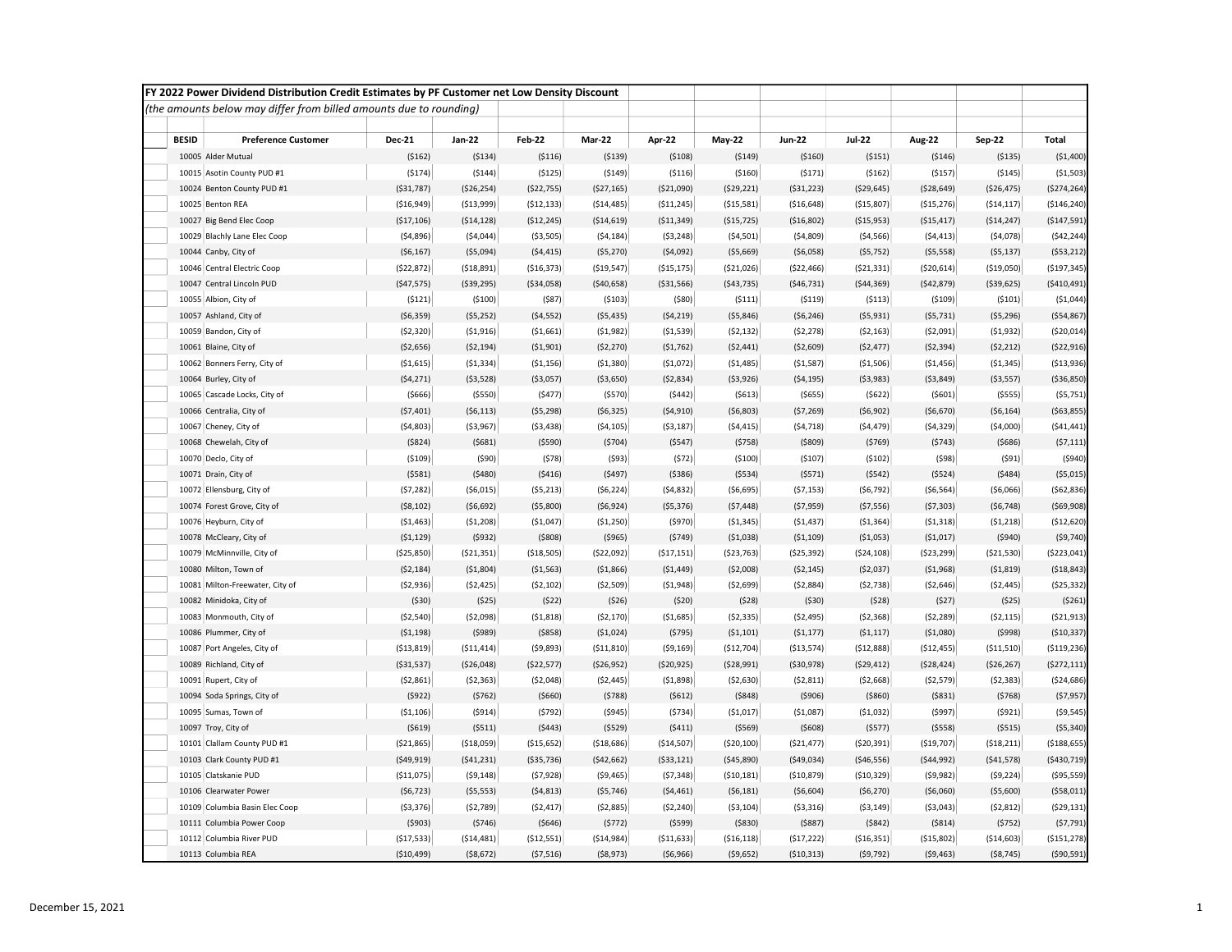|              | FY 2022 Power Dividend Distribution Credit Estimates by PF Customer net Low Density Discount |               |              |              |              |              |               |               |               |              |               |               |
|--------------|----------------------------------------------------------------------------------------------|---------------|--------------|--------------|--------------|--------------|---------------|---------------|---------------|--------------|---------------|---------------|
|              | (the amounts below may differ from billed amounts due to rounding)                           |               |              |              |              |              |               |               |               |              |               |               |
|              |                                                                                              |               |              |              |              |              |               |               |               |              |               |               |
| <b>BESID</b> | <b>Preference Customer</b>                                                                   | <b>Dec-21</b> | Jan-22       | Feb-22       | Mar-22       | Apr-22       | <b>May-22</b> | <b>Jun-22</b> | <b>Jul-22</b> | Aug-22       | <b>Sep-22</b> | <b>Total</b>  |
|              | 10005 Alder Mutual                                                                           | (5162)        | ( \$134)     | ( \$116)     | ( \$139)     | (5108)       | ( \$149)      | ( \$160)      | ( \$151)      | (5146)       | ( \$135)      | (\$1,400)     |
|              | 10015 Asotin County PUD #1                                                                   | (5174)        | (5144)       | (5125)       | (5149)       | (5116)       | ( \$160)      | (5171)        | (5162)        | (5157)       | ( \$145)      | ( \$1,503)    |
|              | 10024 Benton County PUD #1                                                                   | ( \$31,787)   | ( \$26, 254) | (\$22,755)   | (\$27,165)   | ( \$21,090)  | (529, 221)    | ( \$31, 223)  | ( \$29,645)   | ( \$28,649)  | ( \$26,475)   | (\$274,264)   |
|              | 10025 Benton REA                                                                             | ( \$16, 949)  | ( \$13,999)  | ( \$12, 133) | ( \$14,485)  | ( \$11, 245) | ( \$15,581]   | ( \$16,648)   | ( \$15,807)   | (\$15,276)   | ( \$14, 117]  | ( \$146, 240) |
|              | 10027 Big Bend Elec Coop                                                                     | ( \$17,106)   | ( \$14, 128) | (\$12,245)   | ( \$14, 619) | ( \$11, 349) | (\$15,725)    | (\$16,802)    | ( \$15, 953)  | ( \$15,417)  | (\$14,247)    | (\$147,591)   |
|              | 10029 Blachly Lane Elec Coop                                                                 | (54, 896)     | (54,044)     | ( \$3,505)   | (54, 184)    | (53, 248)    | (54, 501)     | (54,809)      | ( \$4,566)    | (54, 413)    | (54,078)      | (542, 244)    |
|              | 10044 Canby, City of                                                                         | ( \$6,167)    | ( \$5,094)   | (54, 415)    | ( \$5,270)   | (54,092)     | ( \$5,669)    | ( \$6,058)    | (55, 752)     | ( \$5,558)   | (55, 137)     | ( \$53, 212)  |
|              | 10046 Central Electric Coop                                                                  | (522, 872)    | (518, 891)   | (516, 373)   | (\$19,547)   | ( \$15, 175) | ( \$21,026)   | (\$22,466)    | (521, 331)    | ( \$20, 614) | (\$19,050)    | (\$197,345)   |
|              | 10047 Central Lincoln PUD                                                                    | (547, 575)    | ( \$39, 295) | ( \$34,058)  | ( \$40, 658) | ( \$31, 566) | (543, 735)    | ( \$46, 731)  | (544, 369)    | (542, 879)   | ( \$39, 625)  | ( \$410, 491) |
|              | 10055 Albion, City of                                                                        | (5121)        | (5100)       | (587)        | (5103)       | ( \$80]      | (5111)        | (5119)        | (5113)        | (5109)       | (5101)        | ( \$1,044)    |
|              | 10057 Ashland, City of                                                                       | ( \$6,359)    | (55, 252)    | ( \$4,552)   | ( \$5,435)   | (54, 219)    | ( \$5,846)    | (56, 246)     | ( \$5,931)    | (55, 731)    | ( \$5,296)    | ( \$54, 867)  |
|              | 10059 Bandon, City of                                                                        | (52, 320)     | ( \$1, 916)  | ( \$1,661)   | (51,982)     | ( \$1,539)   | (52, 132)     | (52, 278)     | (52, 163)     | ( \$2,091)   | (51, 932)     | ( \$20,014)   |
|              | 10061 Blaine, City of                                                                        | ( \$2,656)    | (52, 194)    | ( \$1,901)   | (52, 270)    | (51, 762)    | (52, 441)     | ( \$2,609)    | (52, 477)     | (52, 394)    | (52, 212)     | (522, 916)    |
|              | 10062 Bonners Ferry, City of                                                                 | ( \$1,615)    | ( \$1,334)   | ( \$1,156)   | ( \$1,380)   | (51,072)     | (51, 485)     | ( \$1,587)    | ( \$1,506)    | ( \$1,456)   | (51, 345)     | ( \$13,936)   |
|              | 10064 Burley, City of                                                                        | (54, 271)     | ( \$3,528)   | ( \$3,057)   | ( \$3,650)   | (52, 834)    | ( \$3,926)    | (54, 195)     | ( \$3,983)    | ( \$3,849)   | ( \$3,557)    | ( \$36, 850)  |
|              | 10065 Cascade Locks, City of                                                                 | ( \$666)      | ( \$550)     | (5477)       | ( \$570)     | (5442)       | (5613)        | ( \$655)      | (5622)        | (5601)       | ( \$555)      | (55, 751)     |
|              | 10066 Centralia, City of                                                                     | (57, 401)     | (56, 113)    | (55, 298)    | (56, 325)    | (54, 910)    | ( \$6, 803)   | (57, 269)     | ( \$6, 902)   | ( \$6,670)   | ( \$6,164)    | ( \$63, 855)  |
|              | 10067 Cheney, City of                                                                        | (54,803)      | ( \$3,967)   | (53, 438)    | (54, 105)    | ( \$3,187)   | (54, 415)     | (54, 718)     | (54, 479)     | (54, 329)    | (54,000)      | (541, 441)    |
|              | 10068 Chewelah, City of                                                                      | ( \$824)      | (5681)       | (5590)       | (5704)       | (5547)       | (5758)        | ( \$809)      | (5769)        | (5743)       | (5686)        | (57, 111)     |
|              | 10070 Declo, City of                                                                         | (5109)        | (590)        | (578)        | (593)        | (572)        | (5100)        | ( \$107)      | (5102)        | (598)        | (591)         | (5940)        |
|              | 10071 Drain, City of                                                                         | (5581)        | (5480)       | (5416)       | (5497)       | ( \$386)     | ( \$534)      | (5571)        | (5542)        | (5524)       | (5484)        | ( \$5,015)    |
|              | 10072 Ellensburg, City of                                                                    | (57, 282)     | ( \$6,015)   | (55, 213)    | (56, 224)    | (54, 832)    | ( \$6,695)    | (57, 153)     | (56, 792)     | (56, 564)    | ( \$6,066)    | ( \$62, 836)  |
|              | 10074 Forest Grove, City of                                                                  | ( \$8,102)    | (56, 692)    | (55,800)     | (56, 924)    | (55, 376)    | (57, 448)     | (57, 959)     | (57, 556)     | (57, 303)    | (56, 748)     | ( \$69, 908)  |
|              | 10076 Heyburn, City of                                                                       | ( \$1,463)    | (51, 208)    | ( \$1,047)   | (51, 250)    | (5970)       | (51, 345)     | (51, 437)     | ( \$1,364)    | (51, 318)    | (51,218)      | (\$12,620)    |
|              | 10078 McCleary, City of                                                                      | (51, 129)     | (5932)       | ( \$808)     | ( \$965)     | (5749)       | ( \$1,038)    | ( \$1,109)    | ( \$1,053)    | ( \$1,017)   | ( \$940)      | (59, 740)     |
|              | 10079 McMinnville, City of                                                                   | ( \$25, 850)  | ( \$21,351)  | ( \$18,505)  | ( \$22,092)  | (517, 151)   | ( \$23,763)   | ( \$25, 392)  | ( \$24, 108)  | ( \$23, 299) | ( \$21,530)   | ( \$223,041)  |
|              | 10080 Milton, Town of                                                                        | (52, 184)     | ( \$1,804)   | ( \$1,563)   | ( \$1,866)   | ( \$1,449)   | ( \$2,008)    | (52, 145)     | ( \$2,037)    | ( \$1,968)   | ( \$1,819)    | ( \$18, 843)  |
|              | 10081 Milton-Freewater, City of                                                              | (52,936)      | (52, 425)    | ( \$2,102)   | ( \$2,509)   | (51,948)     | (52, 699)     | (52, 884)     | (52, 738)     | ( \$2,646)   | (52, 445)     | ( \$25, 332)  |
|              | 10082 Minidoka, City of                                                                      | (530)         | (525)        | (522)        | (526)        | (520)        | (528)         | ( \$30)       | (528)         | (527)        | (525)         | (5261)        |
|              | 10083 Monmouth, City of                                                                      | ( \$2,540)    | ( \$2,098)   | ( \$1,818)   | (52, 170)    | ( \$1,685)   | ( \$2,335)    | ( \$2,495)    | (52, 368)     | (52, 289)    | (52, 115)     | ( \$21, 913)  |
|              | 10086 Plummer, City of                                                                       | (51, 198)     | (5989)       | ( \$858)     | ( \$1,024)   | (5795)       | (51, 101)     | (51, 177)     | (51, 117)     | (\$1,080)    | (5998)        | ( \$10, 337)  |
|              | 10087 Port Angeles, City of                                                                  | ( \$13, 819)  | ( \$11,414)  | (59, 893)    | ( \$11, 810) | (59, 169)    | (\$12,704)    | ( \$13,574)   | ( \$12, 888)  | ( \$12,455)  | ( \$11,510)   | ( \$119, 236) |
|              | 10089 Richland, City of                                                                      | ( \$31, 537)  | ( \$26,048)  | (\$22,577)   | ( \$26, 952) | ( \$20, 925) | (528,991)     | ( \$30, 978)  | (529, 412)    | (528, 424)   | (\$26, 267)   | (5272, 111)   |
|              | 10091 Rupert, City of                                                                        | (52, 861)     | (52, 363)    | (52,048)     | (52, 445)    | (51,898)     | ( \$2,630)    | (52, 811)     | ( \$2,668)    | (52, 579)    | (52, 383)     | ( \$24,686)   |
|              | 10094 Soda Springs, City of                                                                  | (5922)        | (5762)       | ( \$660)     | (5788)       | (5612)       | (5848)        | ( \$906)      | ( \$860)      | ( \$831)     | (5768)        | ( \$7,957)    |
|              | 10095 Sumas, Town of                                                                         | (51, 106)     | (5914)       | (5792)       | (5945)       | (5734)       | ( \$1,017)    | ( \$1,087)    | ( \$1,032)    | (5997)       | (5921)        | ( \$9,545)    |
|              | 10097 Troy, City of                                                                          | ( \$619)      | (5511)       | (5443)       | (5529)       | (5411)       | ( \$569)      | (5608)        | (5577)        | (5558)       | ( \$515)      | ( \$5,340)    |
|              | 10101 Clallam County PUD #1                                                                  | (521, 865)    | (\$18,059)   | ( \$15,652)  | (\$18,686)   | (\$14,507)   | (520, 100)    | ( \$21,477)   | (520, 391)    | (\$19,707)   | (518, 211)    | ( \$188, 655) |
|              | 10103 Clark County PUD #1                                                                    | (549, 919)    | (541, 231)   | ( \$35, 736) | (542, 662)   | ( \$33, 121) | (545,890)     | (549, 034)    | ( \$46, 556)  | (544, 992)   | (541, 578)    | (\$430,719)   |
|              | 10105 Clatskanie PUD                                                                         | ( \$11,075)   | ( \$9,148)   | (57, 928)    | ( \$9,465)   | (57, 348)    | (510, 181)    | ( \$10, 879)  | (510, 329)    | (59,982)     | (59, 224)     | ( \$95, 559)  |
|              | 10106 Clearwater Power                                                                       | (56, 723)     | ( \$5,553)   | (54, 813)    | (55, 746)    | (54, 461)    | ( \$6,181)    | ( \$6,604)    | (56, 270)     | ( \$6,060)   | ( \$5,600)    | ( \$58,011)   |
|              | 10109 Columbia Basin Elec Coop                                                               | ( \$3,376)    | (52, 789)    | (52, 417)    | (52,885)     | (52, 240)    | ( \$3, 104)   | ( \$3,316)    | ( \$3,149)    | ( \$3,043)   | (52, 812)     | (529, 131)    |
|              | 10111 Columbia Power Coop                                                                    | (5903)        | (5746)       | ( \$646)     | (5772)       | (5599)       | ( \$830)      | ( \$887)      | (5842)        | ( \$814)     | (5752)        | (57, 791)     |
|              | 10112 Columbia River PUD                                                                     | (517, 533)    | ( \$14,481)  | ( \$12,551)  | ( \$14, 984) | ( \$11,633)  | (516, 118)    | (517, 222)    | ( \$16, 351)  | ( \$15,802)  | ( \$14,603)   | ( \$151, 278) |
|              | 10113 Columbia REA                                                                           | ( \$10,499)   | ( \$8,672)   | (57, 516)    | ( \$8,973)   | (56,966)     | (59, 652)     | ( \$10, 313)  | (59, 792)     | (59, 463)    | ( \$8,745)    | ( \$90,591)   |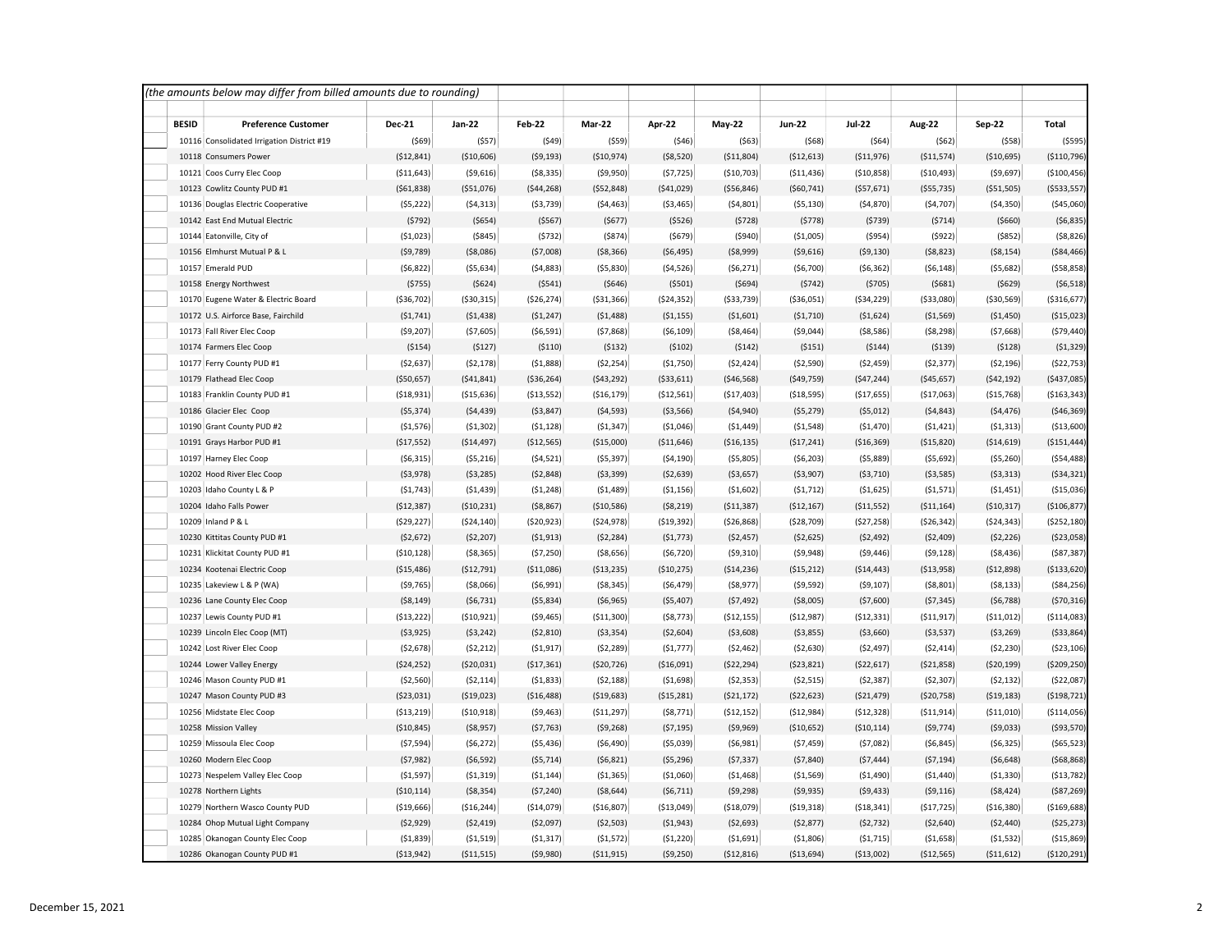|              | (the amounts below may differ from billed amounts due to rounding) |                              |                            |                         |                          |                         |                            |                          |                            |                           |                           |                             |
|--------------|--------------------------------------------------------------------|------------------------------|----------------------------|-------------------------|--------------------------|-------------------------|----------------------------|--------------------------|----------------------------|---------------------------|---------------------------|-----------------------------|
| <b>BESID</b> | <b>Preference Customer</b>                                         | <b>Dec-21</b>                | Jan-22                     | <b>Feb-22</b>           | Mar-22                   | Apr-22                  | $May-22$                   | Jun-22                   | <b>Jul-22</b>              | Aug-22                    | <b>Sep-22</b>             | Total                       |
|              | 10116 Consolidated Irrigation District #19                         | (569)                        | (557)                      | (549)                   | (559)                    | (546)                   | (563)                      | (568)                    | (564)                      | (562)                     | (558)                     | (5595)                      |
|              | 10118 Consumers Power                                              | ( \$12, 841)                 | ( \$10,606)                | (59, 193)               | ( \$10,974)              | ( \$8,520)              | ( \$11,804)                | ( \$12,613)              | ( \$11,976)                | ( \$11,574)               | ( \$10,695)               | ( \$110,796)                |
|              | 10121 Coos Curry Elec Coop                                         | ( \$11,643)                  | ( \$9,616)                 | ( \$8,335)              | (59,950)                 | (57, 725)               | ( \$10,703)                | ( \$11,436)              | ( \$10, 858)               | ( \$10,493)               | ( \$9,697)                | (\$100,456)                 |
|              | 10123 Cowlitz County PUD #1                                        | ( \$61, 838)                 | ( \$51,076)                | (544, 268)              | ( \$52, 848)             | ( \$41,029)             | ( \$56, 846)               | ( \$60, 741)             | ( \$57,671)                | ( \$55, 735)              | ( \$51, 505)              | ( \$533, 557)               |
|              | 10136 Douglas Electric Cooperative                                 | (55, 222)                    | (54, 313)                  | ( \$3,739)              | (54, 463)                | ( \$3,465)              | (54, 801)                  | ( \$5,130)               | (54, 870)                  | (54, 707)                 | (54, 350)                 | ( \$45,060)                 |
|              | 10142 East End Mutual Electric                                     | (5792)                       | ( \$654)                   | (5567)                  | (5677)                   | (5526)                  | (5728)                     | (5778)                   | (5739)                     | (5714)                    | ( \$660)                  | (56, 835)                   |
|              | 10144 Eatonville, City of                                          | (51,023)                     | ( \$845)                   | (5732)                  | (5874)                   | (5679)                  | (5940)                     | ( \$1,005)               | (5954)                     | (5922)                    | (5852)                    | (58, 826)                   |
|              | 10156 Elmhurst Mutual P & L                                        | (59, 789)                    | ( \$8,086)                 | (57,008)                | ( \$8,366)               | ( \$6,495)              | ( \$8,999)                 | ( \$9,616)               | (59, 130)                  | (58, 823)                 | (58, 154)                 | ( \$84,466)                 |
|              | 10157 Emerald PUD                                                  | (56, 822)                    | ( \$5,634)                 | (54, 883)               | ( \$5,830)               | (54, 526)               | (56, 271)                  | (56,700)                 | (56, 362)                  | ( \$6,148)                | (55,682)                  | (558, 858)                  |
|              | 10158 Energy Northwest                                             | (5755)                       | (5624)                     | (5541)                  | (5646)                   | (5501)                  | (5694)                     | (5742)                   | (5705)                     | (5681)                    | ( \$629)                  | ( \$6,518)                  |
|              | 10170 Eugene Water & Electric Board                                | ( \$36, 702)                 | ( \$30, 315)               | ( \$26, 274)            | ( \$31, 366)             | (\$24,352)              | ( \$33, 739)               | ( \$36,051)              | ( \$34, 229)               | ( \$33,080)               | ( \$30, 569)              | ( \$316, 677)               |
|              | 10172 U.S. Airforce Base, Fairchild                                | (51, 741)                    | (51, 438)                  | (51, 247)               | (51, 488)                | (51, 155)               | (\$1,601)                  | (51, 710)                | ( \$1,624)                 | ( \$1,569)                | ( \$1,450)                | ( \$15,023)                 |
|              | 10173 Fall River Elec Coop                                         | (59, 207)                    | (57, 605)                  | ( \$6,591)              | (57,868)                 | ( \$6,109)              | ( \$8,464)                 | (59,044)                 | ( \$8,586)                 | (58, 298)                 | (57,668)                  | (579, 440)                  |
|              | 10174 Farmers Elec Coop                                            | (5154)                       | (5127)                     | (5110)                  | (5132)                   | (5102)                  | (5142)                     | (5151)                   | (5144)                     | (5139)                    | (5128)                    | (51, 329)                   |
|              | 10177 Ferry County PUD #1                                          | (52, 637)                    | (52, 178)                  | (51,888)                | (52, 254)                | (\$1,750)               | (52, 424)                  | ( \$2,590)               | (52, 459)                  | (52, 377)                 | ( \$2,196)                | (522, 753)                  |
|              | 10179 Flathead Elec Coop                                           | ( \$50,657)                  | ( \$41, 841)               | ( \$36, 264)            | (543, 292)               | ( \$33, 611)            | ( \$46, 568)               | ( \$49,759)              | (547, 244)                 | ( \$45,657)               | (542, 192)                | (\$437,085)                 |
|              | 10183 Franklin County PUD #1                                       | (518, 931)                   | ( \$15,636)                | ( \$13,552)             | ( \$16, 179)             | ( \$12,561)             | (517, 403)                 | ( \$18,595)              | ( \$17,655)                | ( \$17,063)               | ( \$15,768)               | ( \$163, 343)               |
|              | 10186 Glacier Elec Coop                                            | ( \$5,374)                   | (54, 439)                  | ( \$3,847)              | (54, 593)                | ( \$3,566)              | (54, 940)                  | (55, 279)                | ( \$5,012)                 | (54, 843)                 | (54, 476)                 | ( \$46, 369)                |
|              | 10190 Grant County PUD #2                                          | (51, 576)                    | (51, 302)                  | (51, 128)               | (51, 347)                | (51,046)                | (51, 449)                  | (51, 548)                | (\$1,470)                  | (51, 421)                 | (51, 313)                 | ( \$13,600)                 |
|              | 10191 Grays Harbor PUD #1                                          | ( \$17, 552)                 | ( \$14,497)                | (\$12,565)              | ( \$15,000)              | ( \$11,646)             | ( \$16, 135)               | ( \$17, 241)             | ( \$16, 369)               | ( \$15, 820)              | ( \$14,619)               | ( \$151, 444)               |
|              | 10197 Harney Elec Coop                                             | (56, 315)                    | (55, 216)                  | (54, 521)               | ( \$5,397)               | (54, 190)               | ( \$5,805)                 | ( \$6, 203)              | (55,889)                   | (55, 692)                 | ( \$5,260)                | (554, 488)                  |
|              | 10202 Hood River Elec Coop                                         | (53,978)                     | ( \$3,285)                 | (52, 848)               | (53, 399)                | (52, 639)               | ( \$3,657)                 | ( \$3,907)               | (53, 710)                  | (53, 585)                 | ( \$3,313)                | (534, 321)                  |
|              | 10203 Idaho County L & P                                           | (51, 743)                    | (51, 439)                  | (51, 248)               | (51, 489)                | (51, 156)               | (51,602)                   | (51, 712)                | ( \$1,625)                 | (51, 571)                 | (51, 451)                 | (\$15,036)                  |
|              | 10204 Idaho Falls Power                                            | (\$12,387)                   | ( \$10, 231)               | ( \$8,867)              | ( \$10,586)              | ( \$8, 219)             | ( \$11, 387)               | (\$12,167)               | ( \$11,552)                | ( \$11,164)               | ( \$10, 317)              | ( \$106, 877)               |
|              | 10209 Inland P & L                                                 | (529, 227)                   | ( \$24, 140)               | ( \$20, 923)            | ( \$24, 978)             | ( \$19, 392)            | ( \$26, 868)               | ( \$28,709)              | (527, 258)                 | (526, 342)                | ( \$24, 343)              | ( \$252, 180)               |
|              | 10230 Kittitas County PUD #1                                       | (\$2,672)                    | (52, 207)                  | (51, 913)               | (52, 284)                | (51, 773)               | (52, 457)                  | (52, 625)                | (52, 492)                  | (52, 409)                 | (52, 226)                 | ( \$23,058)                 |
|              | 10231 Klickitat County PUD #1                                      | (510, 128)                   | ( \$8,365)                 | (57, 250)               | ( \$8,656)               | (56, 720)               | (59, 310)                  | (59, 948)                | ( \$9,446)                 | (59, 128)                 | ( \$8,436)                | ( \$87, 387)                |
|              | 10234 Kootenai Electric Coop                                       | (\$15,486)                   | (\$12,791)                 | ( \$11,086)             | (\$13,235)               | (\$10,275)              | ( \$14, 236)               | ( \$15, 212)             | ( \$14,443)                | ( \$13,958)               | (\$12,898)                | ( \$133, 620)               |
|              | 10235 Lakeview L & P (WA)                                          | (59, 765)                    | ( \$8,066)                 | (56,991)                | ( \$8,345)               | ( \$6,479)              | ( \$8,977)                 | (59, 592)                | (59, 107)                  | ( \$8,801)                | ( \$8,133)                | ( \$84, 256)                |
|              | 10236 Lane County Elec Coop                                        | ( \$8,149)                   | (56, 731)                  | (55,834)                | ( \$6,965)               | ( \$5,407)              | (57, 492)                  | ( \$8,005)               | ( \$7,600)                 | (57, 345)                 | (56, 788)                 | (570, 316)                  |
|              | 10237 Lewis County PUD #1                                          | ( \$13, 222)                 | ( \$10, 921)               | ( \$9,465)              | ( \$11, 300)             | ( \$8,773)              | ( \$12, 155)               | (\$12,987)               | (512, 331)                 | (511, 917)                | ( \$11,012)               | ( \$114,083)                |
|              | 10239 Lincoln Elec Coop (MT)                                       | ( \$3,925)                   | (53, 242)                  | (52, 810)               | ( \$3,354)               | ( \$2,604)              | ( \$3,608)                 | ( \$3,855)               | ( \$3,660)                 | ( \$3,537)                | ( \$3, 269)               | ( \$33, 864)                |
|              | 10242 Lost River Elec Coop                                         | ( \$2,678)                   | (52, 212)                  | (51, 917)               | (52, 289)                | (51, 777)               | (52, 462)                  | ( \$2,630)               | (52, 497)                  | (52, 414)                 | (52, 230)                 | ( \$23, 106)                |
|              | 10244 Lower Valley Energy                                          | ( \$24, 252)                 | ( \$20,031)                | ( \$17,361)             | ( \$20, 726)             | ( \$16,091)             | (\$22,294)                 | ( \$23, 821)             | ( \$22,617)                | ( \$21,858)               | ( \$20, 199)              | ( \$209, 250)               |
|              | 10246 Mason County PUD #1<br>10247 Mason County PUD #3             | ( \$2,560)                   | (52, 114)<br>( \$19,023)   | (51,833)<br>( \$16,488) | (52, 188)<br>( \$19,683) | (51,698)                | (52, 353)                  | (52, 515)                | (52, 387)<br>( \$21,479)   | (52, 307)<br>(520, 758)   | (52, 132)<br>( \$19, 183) | (522,087)<br>( \$198, 721)  |
|              |                                                                    | ( \$23,031)                  |                            |                         |                          | ( \$15, 281)            | ( \$21, 172)               | ( \$22, 623)             |                            |                           |                           |                             |
|              | 10256 Midstate Elec Coop<br>10258 Mission Valley                   | ( \$13, 219)<br>( \$10, 845) | ( \$10, 918)<br>( \$8,957) | (59, 463)<br>(57, 763)  | ( \$11,297)<br>(59, 268) | (58, 771)               | ( \$12, 152)<br>( \$9,969) | (\$12,984)<br>(\$10,652) | (512, 328)<br>( \$10, 114) | ( \$11, 914)<br>(59, 774) | ( \$11,010)<br>(59,033)   | ( \$114,056)<br>( \$93,570) |
|              | 10259 Missoula Elec Coop                                           | (57, 594)                    | (56, 272)                  | ( \$5,436)              | (56, 490)                | (57, 195)<br>( \$5,039) | (56,981)                   | (57, 459)                | (57,082)                   | ( \$6,845)                | (56, 325)                 | ( \$65,523)                 |
|              | 10260 Modern Elec Coop                                             | (57, 982)                    | (56, 592)                  | (55, 714)               | (56, 821)                | (55, 296)               | (57, 337)                  | (57, 840)                | (57, 444)                  | (57, 194)                 | ( \$6,648)                | (568, 868)                  |
|              | 10273 Nespelem Valley Elec Coop                                    | (51, 597)                    | (51, 319)                  | (51, 144)               | ( \$1,365)               | ( \$1,060)              | (51, 468)                  | ( \$1,569)               | ( \$1,490)                 | (51, 440)                 | ( \$1,330)                | ( \$13,782)                 |
|              | 10278 Northern Lights                                              | ( \$10, 114)                 | ( \$8,354)                 | (57, 240)               | ( \$8,644)               | (56, 711)               | (59, 298)                  | (59, 935)                | ( \$9,433)                 | (59, 116)                 | ( \$8,424)                | ( \$87, 269)                |
|              | 10279 Northern Wasco County PUD                                    | (\$19,666)                   | ( \$16, 244)               | ( \$14,079)             | (\$16,807)               | ( \$13,049]             | ( \$18,079]                | ( \$19, 318)             | ( \$18, 341)               | (517, 725)                | ( \$16, 380)              | ( \$169, 688)               |
|              | 10284 Ohop Mutual Light Company                                    | ( \$2,929)                   | (52, 419)                  | (52,097)                | ( \$2,503)               | ( \$1,943)              | ( \$2,693)                 | (52, 877)                | (52, 732)                  | ( \$2,640)                | (52, 440)                 | (525, 273)                  |
|              | 10285 Okanogan County Elec Coop                                    | (51,839)                     | (51, 519)                  | (51, 317)               | (51, 572)                | (51, 220)               | (51,691)                   | (51,806)                 | (51, 715)                  | ( \$1,658)                | (51, 532)                 | ( \$15, 869)                |
|              | 10286 Okanogan County PUD #1                                       | ( \$13, 942)                 | ( \$11, 515)               | (59,980)                | (511, 915)               | (59, 250)               | ( \$12, 816)               | ( \$13,694)              | ( \$13,002)                | (\$12,565)                | ( \$11,612)               | (\$120,291)                 |